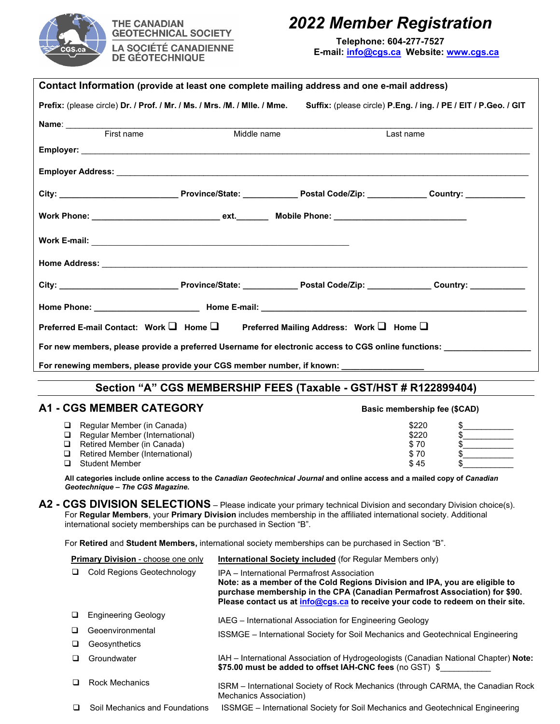

**THE CANADIAN GEOTECHNICAL SOCIETY LA SOCIÉTÉ CANADIENNE DE GÉOTECHNIQUE** 

## *2022 Member Registration*

**Telephone: 604-277-7527 E-mail: [info@cgs.ca](mailto:admin@cgs.ca) Website: [www.cgs.ca](http://www.cgs.ca/)**

| Contact Information (provide at least one complete mailing address and one e-mail address)                                                                                               |                                                                                                                                                                                                                                                                                           |                                                                  |               |  |  |  |  |  |  |
|------------------------------------------------------------------------------------------------------------------------------------------------------------------------------------------|-------------------------------------------------------------------------------------------------------------------------------------------------------------------------------------------------------------------------------------------------------------------------------------------|------------------------------------------------------------------|---------------|--|--|--|--|--|--|
| Prefix: (please circle) Dr. / Prof. / Mr. / Ms. / Mrs. /M. / Mile. / Mme.                                                                                                                |                                                                                                                                                                                                                                                                                           | Suffix: (please circle) P.Eng. / ing. / PE / EIT / P.Geo. / GIT  |               |  |  |  |  |  |  |
| Name: First name                                                                                                                                                                         | Middle name<br>Last name                                                                                                                                                                                                                                                                  |                                                                  |               |  |  |  |  |  |  |
|                                                                                                                                                                                          |                                                                                                                                                                                                                                                                                           |                                                                  |               |  |  |  |  |  |  |
|                                                                                                                                                                                          |                                                                                                                                                                                                                                                                                           |                                                                  |               |  |  |  |  |  |  |
|                                                                                                                                                                                          |                                                                                                                                                                                                                                                                                           |                                                                  |               |  |  |  |  |  |  |
|                                                                                                                                                                                          |                                                                                                                                                                                                                                                                                           |                                                                  |               |  |  |  |  |  |  |
|                                                                                                                                                                                          |                                                                                                                                                                                                                                                                                           |                                                                  |               |  |  |  |  |  |  |
|                                                                                                                                                                                          |                                                                                                                                                                                                                                                                                           |                                                                  |               |  |  |  |  |  |  |
|                                                                                                                                                                                          |                                                                                                                                                                                                                                                                                           |                                                                  |               |  |  |  |  |  |  |
|                                                                                                                                                                                          |                                                                                                                                                                                                                                                                                           |                                                                  |               |  |  |  |  |  |  |
|                                                                                                                                                                                          |                                                                                                                                                                                                                                                                                           |                                                                  |               |  |  |  |  |  |  |
| Preferred E-mail Contact: Work □ Home □ Preferred Mailing Address: Work □ Home □                                                                                                         |                                                                                                                                                                                                                                                                                           |                                                                  |               |  |  |  |  |  |  |
| For new members, please provide a preferred Username for electronic access to CGS online functions: _____________                                                                        |                                                                                                                                                                                                                                                                                           |                                                                  |               |  |  |  |  |  |  |
| For renewing members, please provide your CGS member number, if known: ____________________________                                                                                      |                                                                                                                                                                                                                                                                                           |                                                                  |               |  |  |  |  |  |  |
|                                                                                                                                                                                          |                                                                                                                                                                                                                                                                                           |                                                                  |               |  |  |  |  |  |  |
|                                                                                                                                                                                          |                                                                                                                                                                                                                                                                                           | Section "A" CGS MEMBERSHIP FEES (Taxable - GST/HST # R122899404) |               |  |  |  |  |  |  |
| <b>A1 - CGS MEMBER CATEGORY</b>                                                                                                                                                          |                                                                                                                                                                                                                                                                                           | Basic membership fee (\$CAD)                                     |               |  |  |  |  |  |  |
| Regular Member (in Canada)<br>Q.<br>Regular Member (International)<br>□                                                                                                                  |                                                                                                                                                                                                                                                                                           | \$220<br>\$220                                                   | $\frac{1}{2}$ |  |  |  |  |  |  |
| Retired Member (in Canada)                                                                                                                                                               |                                                                                                                                                                                                                                                                                           | \$70                                                             | $\frac{1}{2}$ |  |  |  |  |  |  |
| Retired Member (International)<br>Q.<br><b>Student Member</b><br>□                                                                                                                       |                                                                                                                                                                                                                                                                                           | \$70<br>\$45                                                     | $\frac{1}{2}$ |  |  |  |  |  |  |
| All categories include online access to the <i>Canadian Geotechnical Journal</i> and online access and a mailed copy of <i>Canadian</i><br>Geotechnique - The CGS Magazine.              |                                                                                                                                                                                                                                                                                           |                                                                  |               |  |  |  |  |  |  |
| A2 - CGS DIVISION SELECTIONS - Please indicate your primary technical Division and secondary Division choice(s).                                                                         |                                                                                                                                                                                                                                                                                           |                                                                  |               |  |  |  |  |  |  |
| For Regular Members, your Primary Division includes membership in the affiliated international society. Additional<br>international society memberships can be purchased in Section "B". |                                                                                                                                                                                                                                                                                           |                                                                  |               |  |  |  |  |  |  |
| For Retired and Student Members, international society memberships can be purchased in Section "B".                                                                                      |                                                                                                                                                                                                                                                                                           |                                                                  |               |  |  |  |  |  |  |
| <b>Primary Division - choose one only</b>                                                                                                                                                | <b>International Society included</b> (for Regular Members only)                                                                                                                                                                                                                          |                                                                  |               |  |  |  |  |  |  |
| <b>Cold Regions Geotechnology</b><br>u                                                                                                                                                   | IPA - International Permafrost Association<br>Note: as a member of the Cold Regions Division and IPA, you are eligible to<br>purchase membership in the CPA (Canadian Permafrost Association) for \$90.<br>Please contact us at info@cgs.ca to receive your code to redeem on their site. |                                                                  |               |  |  |  |  |  |  |
| <b>Engineering Geology</b><br>⊔                                                                                                                                                          | IAEG - International Association for Engineering Geology                                                                                                                                                                                                                                  |                                                                  |               |  |  |  |  |  |  |
| Geoenvironmental<br>⊔                                                                                                                                                                    | ISSMGE – International Society for Soil Mechanics and Geotechnical Engineering                                                                                                                                                                                                            |                                                                  |               |  |  |  |  |  |  |
| Geosynthetics<br>□                                                                                                                                                                       |                                                                                                                                                                                                                                                                                           |                                                                  |               |  |  |  |  |  |  |

- IAH International Association of Hydrogeologists (Canadian National Chapter) **Note: \$75.00 must be added to offset IAH-CNC fees** (no GST) \$\_\_\_\_\_\_\_\_\_\_\_ **Q** Groundwater
- ISRM International Society of Rock Mechanics (through CARMA, the Canadian Rock Mechanics Association) □ Rock Mechanics
- Soil Mechanics and Foundations ISSMGE International Society for Soil Mechanics and Geotechnical Engineering